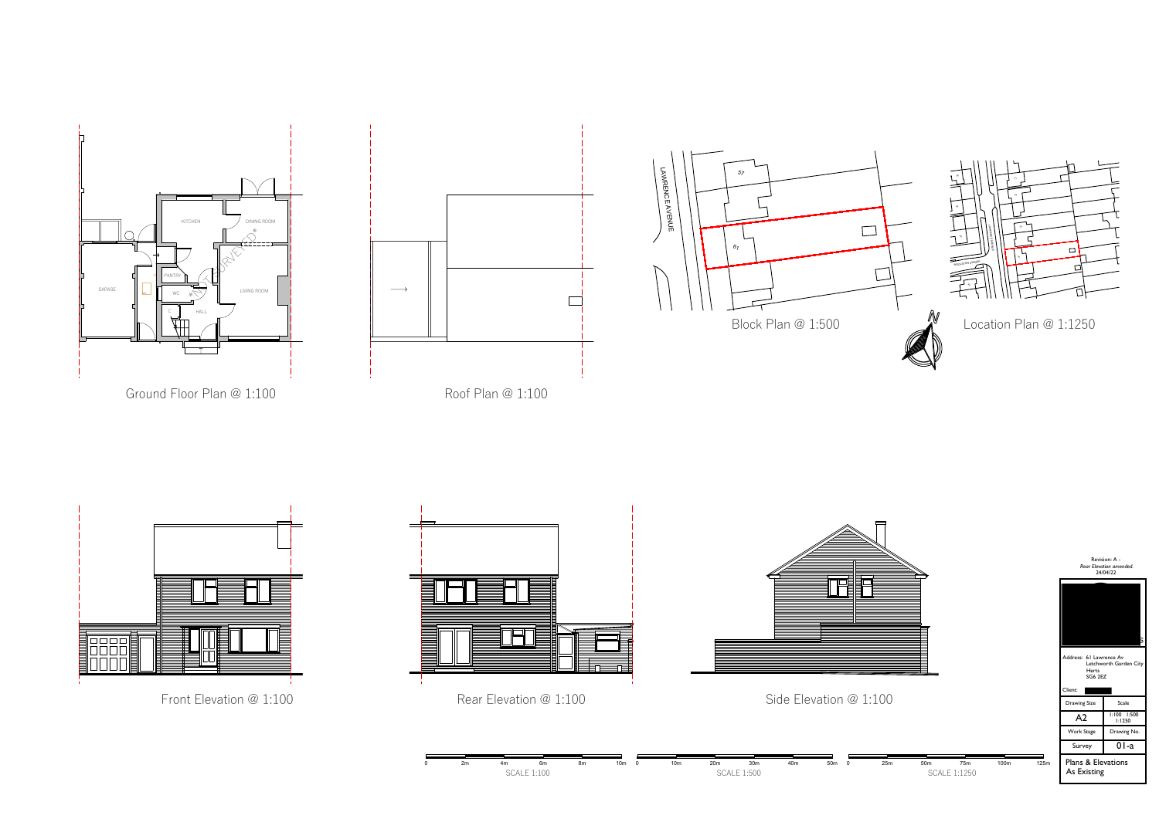